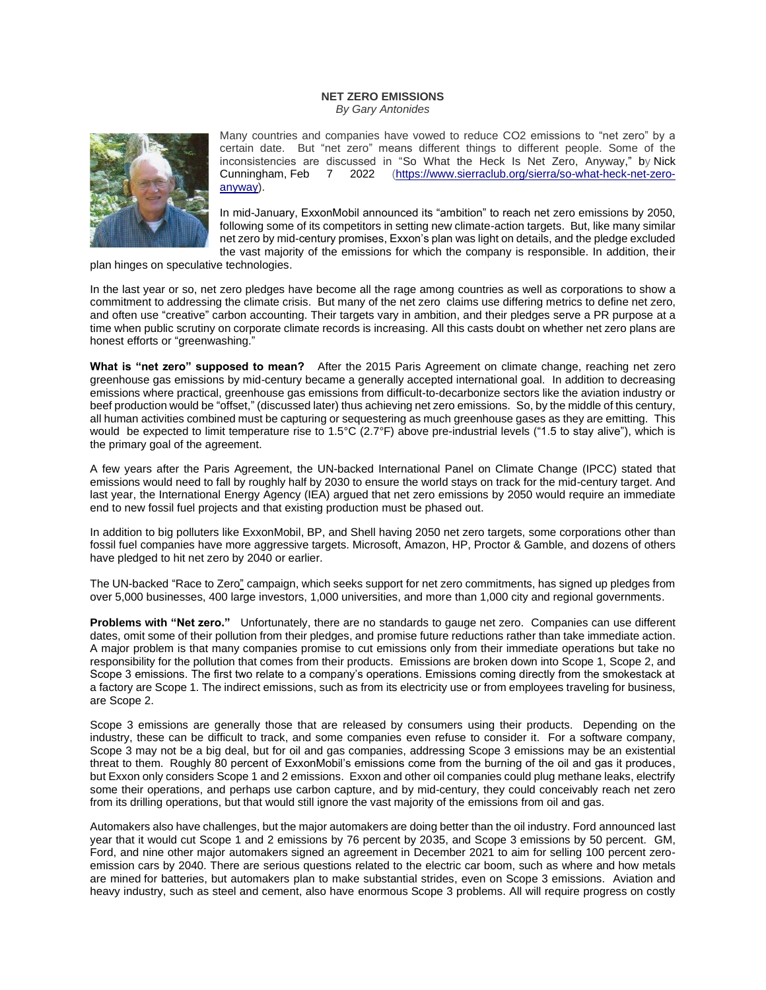## **NET ZERO EMISSIONS**

*By Gary Antonides*



Many countries and companies have vowed to reduce CO2 emissions to "net zero" by a certain date. But "net zero" means different things to different people. Some of the inconsistencies are discussed in "So What the Heck Is Net Zero, Anyway," by [Nick](https://www.sierraclub.org/sierra/authors/nick-cunningham)  [Cunningham,](https://www.sierraclub.org/sierra/authors/nick-cunningham) Feb 7 2022 [\(https://www.sierraclub.org/sierra/so-what-heck-net-zero](https://www.sierraclub.org/sierra/so-what-heck-net-zero-anyway)[anyway\)](https://www.sierraclub.org/sierra/so-what-heck-net-zero-anyway).

In mid-January, ExxonMobil announced its "ambition" to reach net zero emissions by 2050, following some of its competitors in setting new climate-action targets. But, like many similar net zero by mid-century promises, Exxon's plan was light on details, and the pledge excluded the vast majority of the emissions for which the company is responsible. In addition, their

plan hinges on speculative technologies.

In the last year or so, net zero pledges have become all the rage among countries as well as corporations to show a commitment to addressing the climate crisis. But many of the net zero claims use differing metrics to define net zero, and often use "creative" carbon accounting. Their targets vary in ambition, and their pledges serve a PR purpose at a time when public scrutiny on corporate climate records is increasing. All this casts doubt on whether net zero plans are honest efforts or "greenwashing."

**What is "net zero" supposed to mean?** After the 2015 Paris Agreement on climate change, reaching net zero greenhouse gas emissions by mid-century became a generally accepted international goal. In addition to decreasing emissions where practical, greenhouse gas emissions from difficult-to-decarbonize sectors like the aviation industry or beef production would be "offset," (discussed later) thus achieving net zero emissions. So, by the middle of this century, all human activities combined must be capturing or sequestering as much greenhouse gases as they are emitting. This would be expected to limit temperature rise to 1.5°C (2.7°F) above pre-industrial levels ("1.5 to stay alive"), which is the primary goal of the agreement.

A few years after the Paris Agreement, the UN-backed International Panel on Climate Change (IPCC) stated that emissions would need to fall by roughly half by 2030 to ensure the world stays on track for the mid-century target. And last year, the International Energy Agency (IEA) [argued](https://www.iea.org/reports/net-zero-by-2050) that net zero emissions by 2050 would require an immediate end to new fossil fuel projects and that existing production must be phased out.

In addition to big polluters like ExxonMobil, BP, and Shell having 2050 net zero targets, some corporations other than fossil fuel companies have more aggressive targets. Microsoft, Amazon, HP, Proctor & Gamble, and dozens of others have pledged to hit net zero by 2040 or earlier.

The UN-backed ["Race to Zero"](https://unfccc.int/climate-action/race-to-zero-campaign#eq-2) campaign, which seeks support for net zero commitments, has signed up pledges from over 5,000 businesses, 400 large investors, 1,000 universities, and more than 1,000 city and regional governments.

**Problems with "Net zero."** Unfortunately, there are no standards to gauge net zero. Companies can use different dates, omit some of their pollution from their pledges, and promise future reductions rather than take immediate action. A major problem is that many companies promise to cut emissions only from their immediate operations but take no responsibility for the pollution that comes from their products. Emissions are broken down into Scope 1, Scope 2, and Scope 3 emissions. The first two relate to a company's operations. Emissions coming directly from the smokestack at a factory are Scope 1. The indirect emissions, such as from its electricity use or from employees traveling for business, are Scope 2.

Scope 3 emissions are generally those that are released by consumers using their products. Depending on the industry, these can be difficult to track, and some companies even refuse to consider it. For a software company, Scope 3 may not be a big deal, but for oil and gas companies, addressing Scope 3 emissions may be an existential threat to them. Roughly 80 percent of ExxonMobil's emissions come from the burning of the oil and gas it produces, but Exxon only considers Scope 1 and 2 emissions. Exxon and other oil companies could plug methane leaks, electrify some their operations, and perhaps use carbon capture, and by mid-century, they could conceivably reach net zero from its drilling operations, but that would still ignore the vast majority of the emissions from oil and gas.

Automakers also have challenges, but the major automakers are doing better than the oil industry. Ford [announced](https://media.ford.com/content/fordmedia/fna/us/en/news/2021/03/31/ford-integrated-sustainability-financial-report.html) last year that it would cut Scope 1 and 2 emissions by 76 percent by 2035, and Scope 3 emissions by 50 percent. GM, Ford, and nine other major automakers [signed](https://www.gov.uk/government/publications/cop26-declaration-zero-emission-cars-and-vans/cop26-declaration-on-accelerating-the-transition-to-100-zero-emission-cars-and-vans) an agreement in December 2021 to aim for selling 100 percent zeroemission cars by 2040. There are serious questions related to the electric car boom, such as where and [how metals](https://newrepublic.com/article/162350/decolonize-lithium-boom-indigenous-rights)  [are mined](https://newrepublic.com/article/162350/decolonize-lithium-boom-indigenous-rights) for batteries, but automakers plan to make substantial strides, even on Scope 3 emissions. Aviation and heavy industry, such as steel and cement, also have enormous [Scope 3 problems.](https://www.spglobal.com/platts/en/market-insights/latest-news/energy-transition/110321-steel-companies-not-doing-enough-to-address-scope-3-emissions-kloeckner-ceo) All will require progress on costly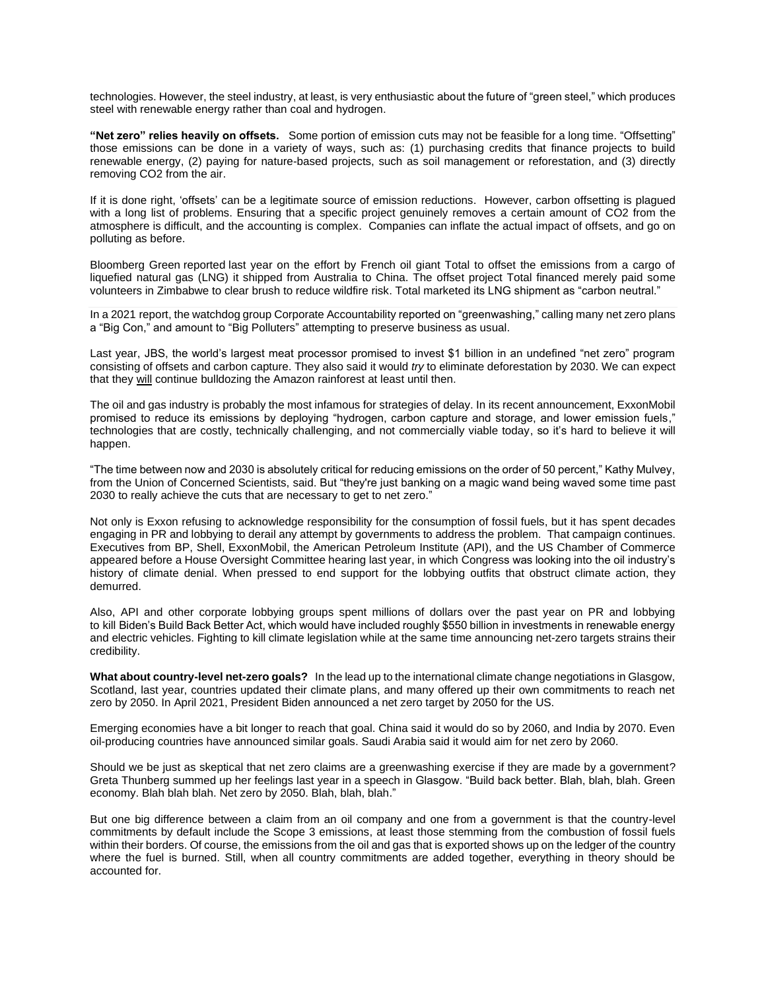technologies. However, the steel industry, at least, is very enthusiastic about the future of "green steel," which produces steel with renewable energy rather than coal and hydrogen.

**"Net zero" relies heavily on offsets.** Some portion of emission cuts may not be feasible for a long time. "Offsetting" those emissions can be done in a variety of ways, such as: (1) purchasing credits that finance projects to build renewable energy, (2) paying for nature-based projects, such as soil management or reforestation, and (3) directly removing CO2 from the air.

If it is done right, 'offsets' can be a legitimate source of emission reductions. However, carbon offsetting is plagued with a long list of problems. Ensuring that a specific project genuinely removes a certain amount of CO2 from the atmosphere is difficult, and the accounting is complex. Companies can [inflate the actual impact](https://www.propublica.org/article/the-climate-solution-actually-adding-millions-of-tons-of-co2-into-the-atmosphere) of offsets, and go on polluting as before.

Bloomberg Green [reported](https://www.bloomberg.com/news/features/2021-08-11/the-fictitious-world-of-carbon-neutral-fossil-fuel) last year on the effort by French oil giant Total to offset the emissions from a cargo of liquefied natural gas (LNG) it shipped from Australia to China. The offset project Total financed merely paid some volunteers in Zimbabwe to clear brush to reduce wildfire risk. Total marketed its LNG shipment as "carbon neutral."

In a 2021 [report,](https://www.corporateaccountability.org/wp-content/uploads/2021/06/The-Big-Con_EN.pdf) the watchdog group Corporate Accountability reported on "greenwashing," calling many net zero plans a "Big Con," and amount to "Big Polluters" attempting to preserve business as usual.

Last year, JBS, the world's largest meat processor promised to invest \$1 billion in an undefined "net zero" program consisting of offsets and carbon capture. They also [said](https://www.just-food.com/news/cop26-jbs-cargill-join-ten-strong-commodity-group-pledging-to-end-deforestation/) it would *try* to eliminate deforestation by 2030. We can expect that they will continue [bulldozing the Amazon](https://www.bloomberg.com/graphics/2022-beef-industry-fueling-amazon-rainforest-destruction-deforestation/) rainforest at least until then.

The oil and gas industry is probably the most infamous for strategies of delay. In its recent announcement, ExxonMobil promised to reduce its emissions by deploying "hydrogen, carbon capture and storage, and lower emission fuels," technologies that are costly, technically challenging, and not commercially viable today, so it's hard to believe it will happen.

"The time between now and 2030 is absolutely critical for reducing emissions on the order of 50 percent," Kathy Mulvey, from the Union of Concerned Scientists, said. But "they're just banking on a magic wand being waved some time past 2030 to really achieve the cuts that are necessary to get to net zero."

Not only is Exxon refusing to acknowledge responsibility for the consumption of fossil fuels, but it has spent decades engaging in PR and lobbying to derail any attempt by governments to address the problem. That campaign continues. Executives from BP, Shell, ExxonMobil, the American Petroleum Institute (API), and the US Chamber of Commerce appeared before a House Oversight Committee hearing last year, in which [Congress was looking into the oil industry's](https://www.sierraclub.org/sierra/big-oil-hot-seat)  [history of climate denial.](https://www.sierraclub.org/sierra/big-oil-hot-seat) When pressed to end support for the lobbying outfits that obstruct climate action, they demurred.

Also, API and other corporate lobbying groups spent millions of dollars over the past year on PR and lobbying to [kill](https://www.cnn.com/2021/10/03/business/climate-biden-oil-reconciliation/index.html) Biden's Build Back Better Act, which would have included roughly \$550 billion in investments in renewable energy and electric vehicles. Fighting to kill climate legislation while at the same time announcing net-zero targets strains their credibility.

**What about country-level net-zero goals?** In the lead up to the international climate change negotiations in Glasgow, Scotland, last year, countries updated their climate plans, and many offered up their own commitments to reach net zero by 2050. In April 2021, President Biden [announced](https://www.whitehouse.gov/briefing-room/statements-releases/2021/04/22/fact-sheet-president-biden-sets-2030-greenhouse-gas-pollution-reduction-target-aimed-at-creating-good-paying-union-jobs-and-securing-u-s-leadership-on-clean-energy-technologies/) a net zero target by 2050 for the US.

Emerging economies have a bit longer to reach that goal. China said it would do so by 2060, and India by 2070. Even oil-producing countries have announced similar goals. Saudi Arabia said it would aim for net zero by 2060.

Should we be just as skeptical that net zero claims are a greenwashing exercise if they are made by a government? Greta Thunberg [summed](https://www.theguardian.com/environment/2021/sep/28/blah-greta-thunberg-leaders-climate-crisis-co2-emissions) up her feelings last year in a speech in Glasgow. "Build back better. Blah, blah, blah. Green economy. Blah blah blah. Net zero by 2050. Blah, blah, blah."

But one big difference between a claim from an oil company and one from a government is that the country-level commitments by default include the Scope 3 emissions, at least those stemming from the combustion of fossil fuels within their borders. Of course, the emissions from the oil and gas that is exported shows up on the ledger of the country where the fuel is burned. Still, when all country commitments are added together, everything in theory should be accounted for.